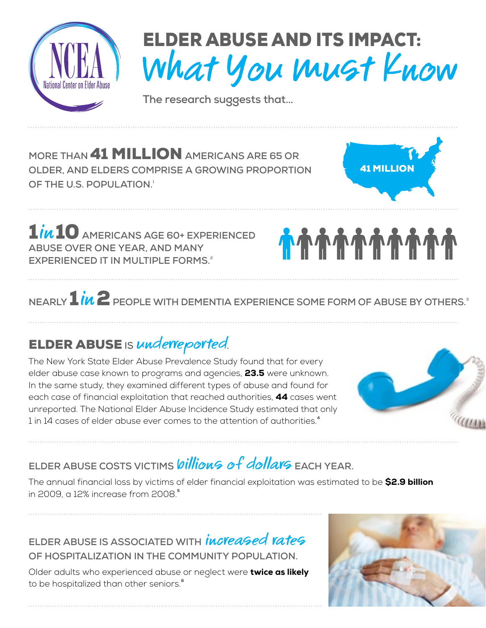

# ELDER ABUSE AND ITS IMPACT: What You Must Know

**The research suggests that...**

**MORE THAN** 41 MILLION **AMERICANS ARE 65 OR OLDER, AND ELDERS COMPRISE A GROWING PROPORTION OF THE U.S. POPULATION.1**



1in10 **AMERICANS AGE 60+ EXPERIENCED ABUSE OVER ONE YEAR, AND MANY EXPERIENCED IT IN MULTIPLE FORMS.**<sup>2</sup>

# *<u>ስስስስስስስስስ</u>*

NFARLY  $1in2$  PEOPLE WITH DEMENTIA EXPERIENCE SOME FORM OF ABUSE BY OTHERS.<sup>3</sup>

## ELDER ABUSE **IS** underreported**.**

The New York State Elder Abuse Prevalence Study found that for every elder abuse case known to programs and agencies, **23.5** were unknown. In the same study, they examined different types of abuse and found for each case of financial exploitation that reached authorities, 44 cases went unreported. The National Elder Abuse Incidence Study estimated that only 1 in 14 cases of elder abuse ever comes to the attention of authorities.**<sup>4</sup>**



## ELDER ABUSE COSTS VICTIMS *billion<sup>G</sup> of dollarg* EACH YEAR.

The annual financial loss by victims of elder financial exploitation was estimated to be \$2.9 billion in 2009, a 12% increase from 2008.**<sup>5</sup>**

ELDER ABUSE IS ASSOCIATED WITH *increased rates* **OF HOSPITALIZATION IN THE COMMUNITY POPULATION.** 

Older adults who experienced abuse or neglect were twice as likely to be hospitalized than other seniors.**<sup>6</sup>**